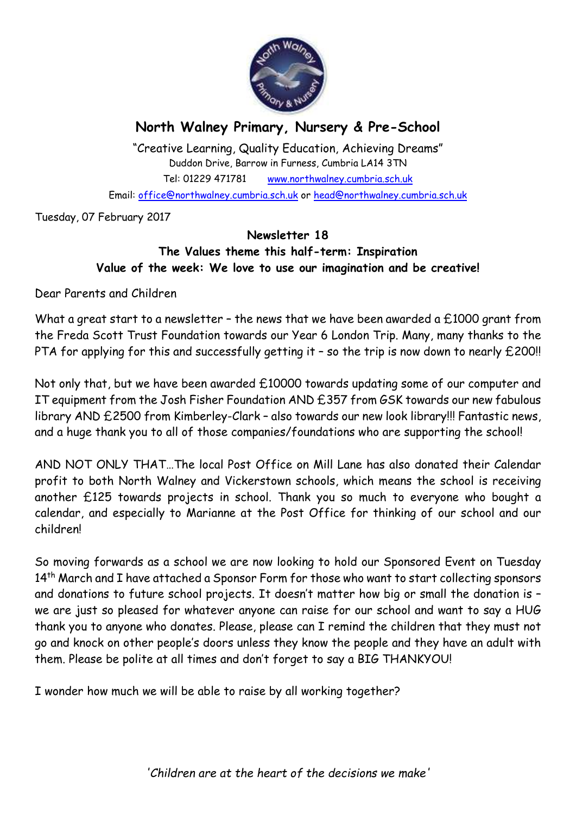

# **North Walney Primary, Nursery & Pre-School**

"Creative Learning, Quality Education, Achieving Dreams" Duddon Drive, Barrow in Furness, Cumbria LA14 3TN Tel: 01229 471781 www.northwalney.cumbria.sch.uk Email: office@northwalney.cumbria.sch.uk or head@northwalney.cumbria.sch.uk

Tuesday, 07 February 2017

#### **Newsletter 18**

### **The Values theme this half-term: Inspiration Value of the week: We love to use our imagination and be creative!**

Dear Parents and Children

What a great start to a newsletter - the news that we have been awarded a £1000 grant from the Freda Scott Trust Foundation towards our Year 6 London Trip. Many, many thanks to the PTA for applying for this and successfully getting it - so the trip is now down to nearly £200!!

Not only that, but we have been awarded £10000 towards updating some of our computer and IT equipment from the Josh Fisher Foundation AND £357 from GSK towards our new fabulous library AND £2500 from Kimberley-Clark – also towards our new look library!!! Fantastic news, and a huge thank you to all of those companies/foundations who are supporting the school!

AND NOT ONLY THAT…The local Post Office on Mill Lane has also donated their Calendar profit to both North Walney and Vickerstown schools, which means the school is receiving another £125 towards projects in school. Thank you so much to everyone who bought a calendar, and especially to Marianne at the Post Office for thinking of our school and our children!

So moving forwards as a school we are now looking to hold our Sponsored Event on Tuesday 14<sup>th</sup> March and I have attached a Sponsor Form for those who want to start collecting sponsors and donations to future school projects. It doesn't matter how big or small the donation is – we are just so pleased for whatever anyone can raise for our school and want to say a HUG thank you to anyone who donates. Please, please can I remind the children that they must not go and knock on other people's doors unless they know the people and they have an adult with them. Please be polite at all times and don't forget to say a BIG THANKYOU!

I wonder how much we will be able to raise by all working together?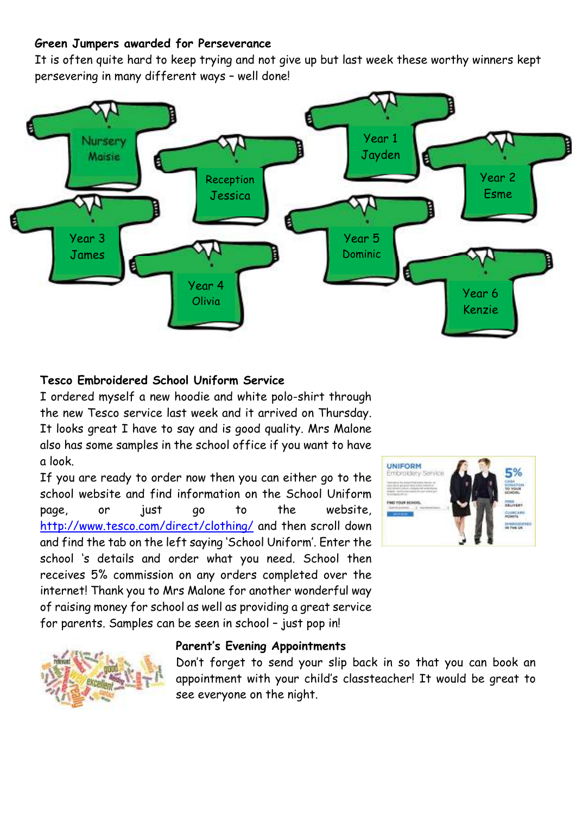#### **Green Jumpers awarded for Perseverance**

It is often quite hard to keep trying and not give up but last week these worthy winners kept persevering in many different ways – well done!



### **Tesco Embroidered School Uniform Service**

I ordered myself a new hoodie and white polo-shirt through the new Tesco service last week and it arrived on Thursday. It looks great I have to say and is good quality. Mrs Malone also has some samples in the school office if you want to have a look.

If you are ready to order now then you can either go to the school website and find information on the School Uniform page, or just go to the website, http://www.tesco.com/direct/clothing/ and then scroll down and find the tab on the left saying 'School Uniform'. Enter the school 's details and order what you need. School then receives 5% commission on any orders completed over the internet! Thank you to Mrs Malone for another wonderful way of raising money for school as well as providing a great service for parents. Samples can be seen in school – just pop in!





#### **Parent's Evening Appointments**

Don't forget to send your slip back in so that you can book an appointment with your child's classteacher! It would be great to see everyone on the night.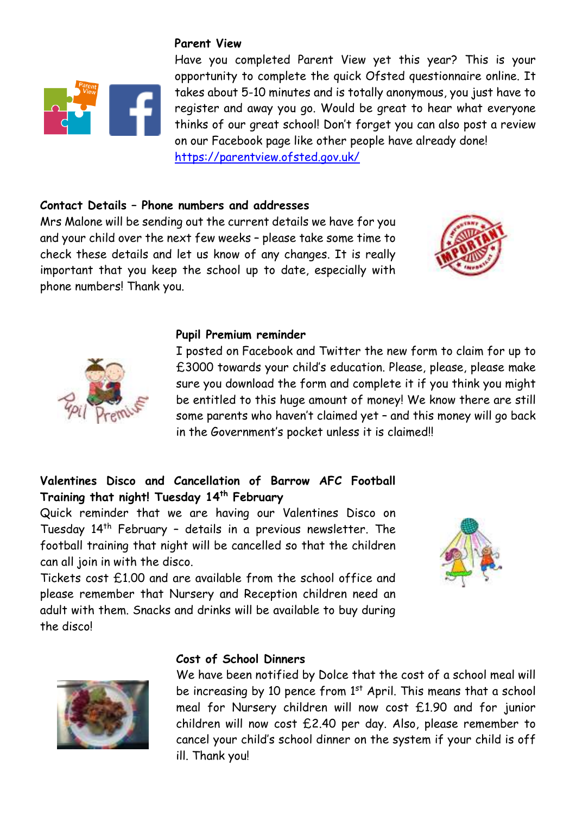

#### **Parent View**

Have you completed Parent View yet this year? This is your opportunity to complete the quick Ofsted questionnaire online. It takes about 5-10 minutes and is totally anonymous, you just have to register and away you go. Would be great to hear what everyone thinks of our great school! Don't forget you can also post a review on our Facebook page like other people have already done! https://parentview.ofsted.gov.uk/

#### **Contact Details – Phone numbers and addresses**

Mrs Malone will be sending out the current details we have for you and your child over the next few weeks – please take some time to check these details and let us know of any changes. It is really important that you keep the school up to date, especially with phone numbers! Thank you.





#### **Pupil Premium reminder**

I posted on Facebook and Twitter the new form to claim for up to £3000 towards your child's education. Please, please, please make sure you download the form and complete it if you think you might be entitled to this huge amount of money! We know there are still some parents who haven't claimed yet – and this money will go back in the Government's pocket unless it is claimed!!

### **Valentines Disco and Cancellation of Barrow AFC Football Training that night! Tuesday 14th February**

Quick reminder that we are having our Valentines Disco on Tuesday 14th February – details in a previous newsletter. The football training that night will be cancelled so that the children can all join in with the disco.



Tickets cost £1.00 and are available from the school office and please remember that Nursery and Reception children need an adult with them. Snacks and drinks will be available to buy during the disco!

## **Cost of School Dinners**



We have been notified by Dolce that the cost of a school meal will be increasing by 10 pence from 1<sup>st</sup> April. This means that a school meal for Nursery children will now cost £1.90 and for junior children will now cost £2.40 per day. Also, please remember to cancel your child's school dinner on the system if your child is off ill. Thank you!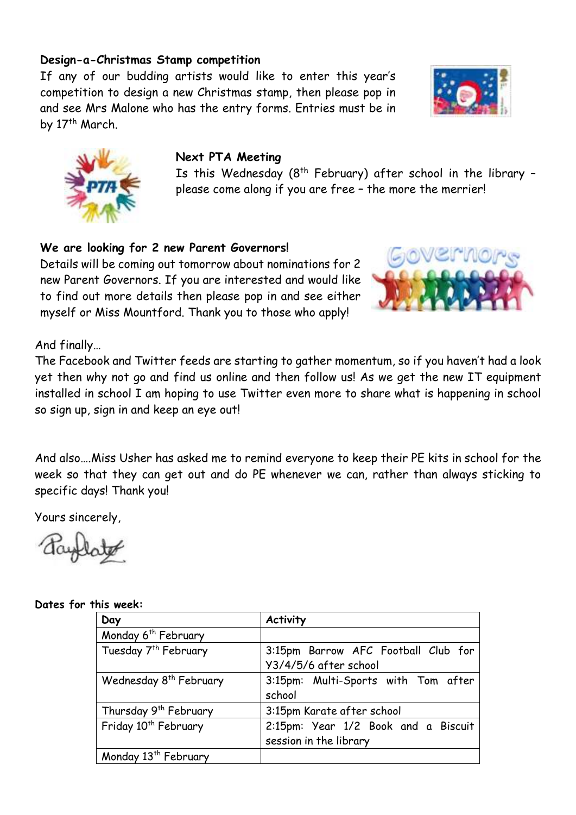#### **Design-a-Christmas Stamp competition**

If any of our budding artists would like to enter this year's competition to design a new Christmas stamp, then please pop in and see Mrs Malone who has the entry forms. Entries must be in by 17<sup>th</sup> March.





#### **Next PTA Meeting**

Is this Wednesday  $(8^{th}$  February) after school in the library please come along if you are free – the more the merrier!

**We are looking for 2 new Parent Governors!**

Details will be coming out tomorrow about nominations for 2 new Parent Governors. If you are interested and would like to find out more details then please pop in and see either myself or Miss Mountford. Thank you to those who apply!



And finally…

The Facebook and Twitter feeds are starting to gather momentum, so if you haven't had a look yet then why not go and find us online and then follow us! As we get the new IT equipment installed in school I am hoping to use Twitter even more to share what is happening in school so sign up, sign in and keep an eye out!

And also….Miss Usher has asked me to remind everyone to keep their PE kits in school for the week so that they can get out and do PE whenever we can, rather than always sticking to specific days! Thank you!

Yours sincerely,

#### **Dates for this week:**

| Day                                | <b>Activity</b>                     |
|------------------------------------|-------------------------------------|
| Monday 6 <sup>th</sup> February    |                                     |
| Tuesday 7 <sup>th</sup> February   | 3:15pm Barrow AFC Football Club for |
|                                    | Y3/4/5/6 after school               |
| Wednesday 8 <sup>th</sup> February | 3:15pm: Multi-Sports with Tom after |
|                                    | school                              |
| Thursday 9 <sup>th</sup> February  | 3:15pm Karate after school          |
| Friday 10 <sup>th</sup> February   | 2:15pm: Year 1/2 Book and a Biscuit |
|                                    | session in the library              |
| Monday 13 <sup>th</sup> February   |                                     |